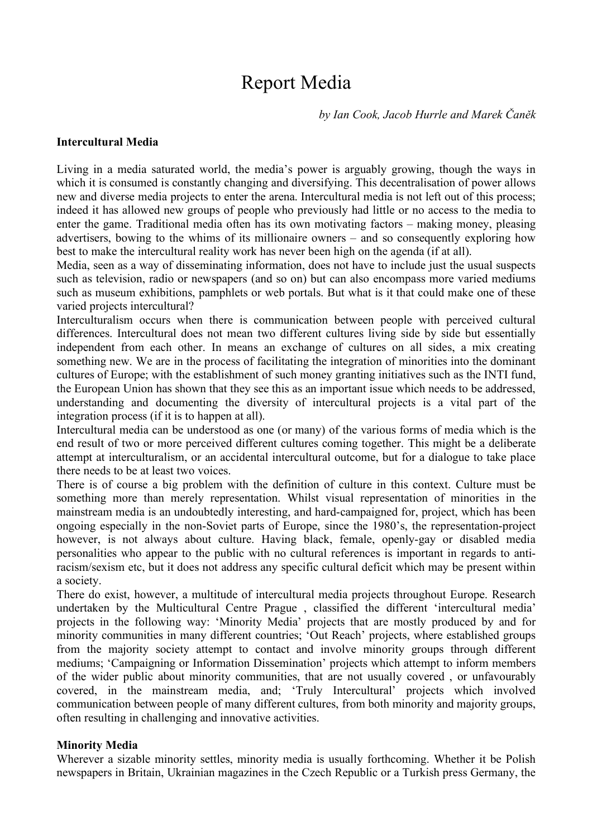# Report Media

*by Ian Cook, Jacob Hurrle and Marek Čaněk*

## **Intercultural Media**

Living in a media saturated world, the media's power is arguably growing, though the ways in which it is consumed is constantly changing and diversifying. This decentralisation of power allows new and diverse media projects to enter the arena. Intercultural media is not left out of this process; indeed it has allowed new groups of people who previously had little or no access to the media to enter the game. Traditional media often has its own motivating factors – making money, pleasing advertisers, bowing to the whims of its millionaire owners – and so consequently exploring how best to make the intercultural reality work has never been high on the agenda (if at all).

Media, seen as a way of disseminating information, does not have to include just the usual suspects such as television, radio or newspapers (and so on) but can also encompass more varied mediums such as museum exhibitions, pamphlets or web portals. But what is it that could make one of these varied projects intercultural?

Interculturalism occurs when there is communication between people with perceived cultural differences. Intercultural does not mean two different cultures living side by side but essentially independent from each other. In means an exchange of cultures on all sides, a mix creating something new. We are in the process of facilitating the integration of minorities into the dominant cultures of Europe; with the establishment of such money granting initiatives such as the INTI fund, the European Union has shown that they see this as an important issue which needs to be addressed, understanding and documenting the diversity of intercultural projects is a vital part of the integration process (if it is to happen at all).

Intercultural media can be understood as one (or many) of the various forms of media which is the end result of two or more perceived different cultures coming together. This might be a deliberate attempt at interculturalism, or an accidental intercultural outcome, but for a dialogue to take place there needs to be at least two voices.

There is of course a big problem with the definition of culture in this context. Culture must be something more than merely representation. Whilst visual representation of minorities in the mainstream media is an undoubtedly interesting, and hard-campaigned for, project, which has been ongoing especially in the non-Soviet parts of Europe, since the 1980's, the representation-project however, is not always about culture. Having black, female, openly-gay or disabled media personalities who appear to the public with no cultural references is important in regards to antiracism/sexism etc, but it does not address any specific cultural deficit which may be present within a society.

There do exist, however, a multitude of intercultural media projects throughout Europe. Research undertaken by the Multicultural Centre Prague , classified the different 'intercultural media' projects in the following way: 'Minority Media' projects that are mostly produced by and for minority communities in many different countries; 'Out Reach' projects, where established groups from the majority society attempt to contact and involve minority groups through different mediums; 'Campaigning or Information Dissemination' projects which attempt to inform members of the wider public about minority communities, that are not usually covered , or unfavourably covered, in the mainstream media, and; 'Truly Intercultural' projects which involved communication between people of many different cultures, from both minority and majority groups, often resulting in challenging and innovative activities.

# **Minority Media**

Wherever a sizable minority settles, minority media is usually forthcoming. Whether it be Polish newspapers in Britain, Ukrainian magazines in the Czech Republic or a Turkish press Germany, the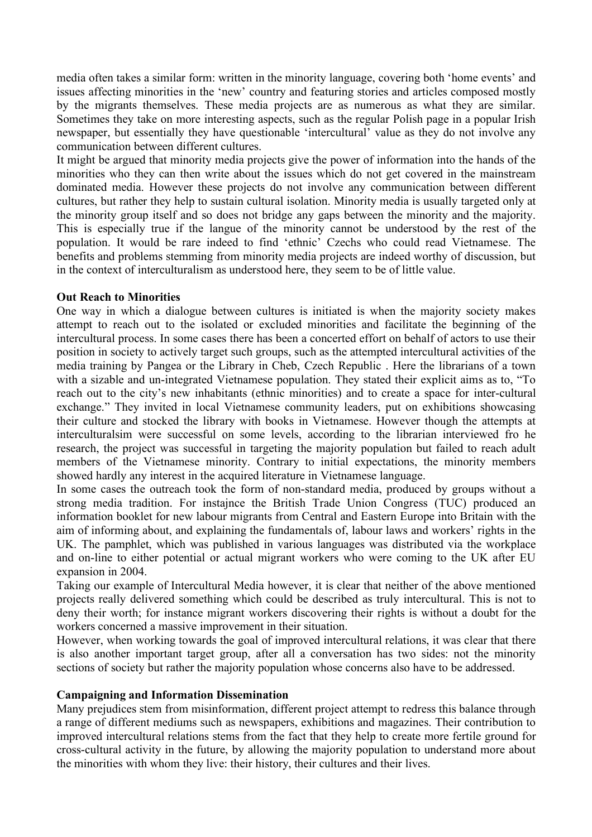media often takes a similar form: written in the minority language, covering both 'home events' and issues affecting minorities in the 'new' country and featuring stories and articles composed mostly by the migrants themselves. These media projects are as numerous as what they are similar. Sometimes they take on more interesting aspects, such as the regular Polish page in a popular Irish newspaper, but essentially they have questionable 'intercultural' value as they do not involve any communication between different cultures.

It might be argued that minority media projects give the power of information into the hands of the minorities who they can then write about the issues which do not get covered in the mainstream dominated media. However these projects do not involve any communication between different cultures, but rather they help to sustain cultural isolation. Minority media is usually targeted only at the minority group itself and so does not bridge any gaps between the minority and the majority. This is especially true if the langue of the minority cannot be understood by the rest of the population. It would be rare indeed to find 'ethnic' Czechs who could read Vietnamese. The benefits and problems stemming from minority media projects are indeed worthy of discussion, but in the context of interculturalism as understood here, they seem to be of little value.

#### **Out Reach to Minorities**

One way in which a dialogue between cultures is initiated is when the majority society makes attempt to reach out to the isolated or excluded minorities and facilitate the beginning of the intercultural process. In some cases there has been a concerted effort on behalf of actors to use their position in society to actively target such groups, such as the attempted intercultural activities of the media training by Pangea or the Library in Cheb, Czech Republic . Here the librarians of a town with a sizable and un-integrated Vietnamese population. They stated their explicit aims as to, "To reach out to the city's new inhabitants (ethnic minorities) and to create a space for inter-cultural exchange." They invited in local Vietnamese community leaders, put on exhibitions showcasing their culture and stocked the library with books in Vietnamese. However though the attempts at interculturalsim were successful on some levels, according to the librarian interviewed fro he research, the project was successful in targeting the majority population but failed to reach adult members of the Vietnamese minority. Contrary to initial expectations, the minority members showed hardly any interest in the acquired literature in Vietnamese language.

In some cases the outreach took the form of non-standard media, produced by groups without a strong media tradition. For instajnce the British Trade Union Congress (TUC) produced an information booklet for new labour migrants from Central and Eastern Europe into Britain with the aim of informing about, and explaining the fundamentals of, labour laws and workers' rights in the UK. The pamphlet, which was published in various languages was distributed via the workplace and on-line to either potential or actual migrant workers who were coming to the UK after EU expansion in 2004.

Taking our example of Intercultural Media however, it is clear that neither of the above mentioned projects really delivered something which could be described as truly intercultural. This is not to deny their worth; for instance migrant workers discovering their rights is without a doubt for the workers concerned a massive improvement in their situation.

However, when working towards the goal of improved intercultural relations, it was clear that there is also another important target group, after all a conversation has two sides: not the minority sections of society but rather the majority population whose concerns also have to be addressed.

# **Campaigning and Information Dissemination**

Many prejudices stem from misinformation, different project attempt to redress this balance through a range of different mediums such as newspapers, exhibitions and magazines. Their contribution to improved intercultural relations stems from the fact that they help to create more fertile ground for cross-cultural activity in the future, by allowing the majority population to understand more about the minorities with whom they live: their history, their cultures and their lives.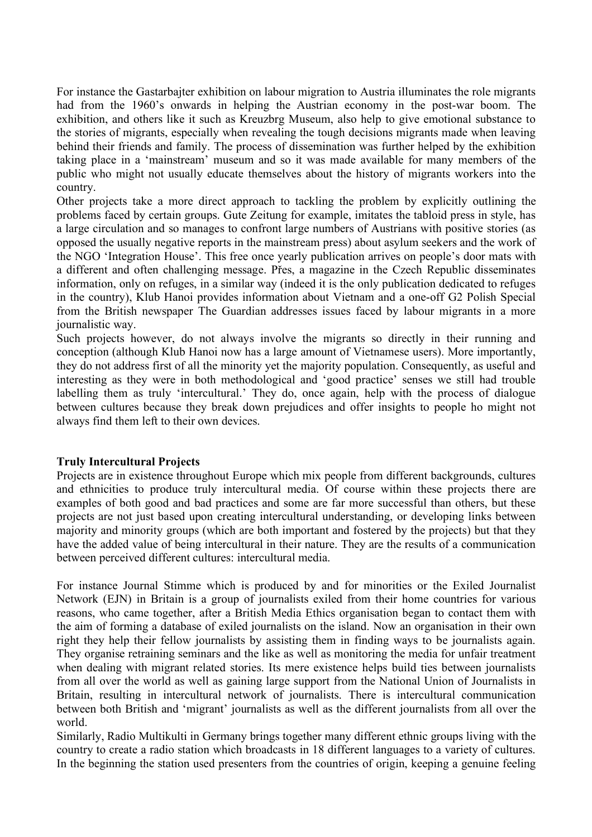For instance the Gastarbajter exhibition on labour migration to Austria illuminates the role migrants had from the 1960's onwards in helping the Austrian economy in the post-war boom. The exhibition, and others like it such as Kreuzbrg Museum, also help to give emotional substance to the stories of migrants, especially when revealing the tough decisions migrants made when leaving behind their friends and family. The process of dissemination was further helped by the exhibition taking place in a 'mainstream' museum and so it was made available for many members of the public who might not usually educate themselves about the history of migrants workers into the country.

Other projects take a more direct approach to tackling the problem by explicitly outlining the problems faced by certain groups. Gute Zeitung for example, imitates the tabloid press in style, has a large circulation and so manages to confront large numbers of Austrians with positive stories (as opposed the usually negative reports in the mainstream press) about asylum seekers and the work of the NGO 'Integration House'. This free once yearly publication arrives on people's door mats with a different and often challenging message. Přes, a magazine in the Czech Republic disseminates information, only on refuges, in a similar way (indeed it is the only publication dedicated to refuges in the country), Klub Hanoi provides information about Vietnam and a one-off G2 Polish Special from the British newspaper The Guardian addresses issues faced by labour migrants in a more journalistic way.

Such projects however, do not always involve the migrants so directly in their running and conception (although Klub Hanoi now has a large amount of Vietnamese users). More importantly, they do not address first of all the minority yet the majority population. Consequently, as useful and interesting as they were in both methodological and 'good practice' senses we still had trouble labelling them as truly 'intercultural.' They do, once again, help with the process of dialogue between cultures because they break down prejudices and offer insights to people ho might not always find them left to their own devices.

# **Truly Intercultural Projects**

Projects are in existence throughout Europe which mix people from different backgrounds, cultures and ethnicities to produce truly intercultural media. Of course within these projects there are examples of both good and bad practices and some are far more successful than others, but these projects are not just based upon creating intercultural understanding, or developing links between majority and minority groups (which are both important and fostered by the projects) but that they have the added value of being intercultural in their nature. They are the results of a communication between perceived different cultures: intercultural media.

For instance Journal Stimme which is produced by and for minorities or the Exiled Journalist Network (EJN) in Britain is a group of journalists exiled from their home countries for various reasons, who came together, after a British Media Ethics organisation began to contact them with the aim of forming a database of exiled journalists on the island. Now an organisation in their own right they help their fellow journalists by assisting them in finding ways to be journalists again. They organise retraining seminars and the like as well as monitoring the media for unfair treatment when dealing with migrant related stories. Its mere existence helps build ties between journalists from all over the world as well as gaining large support from the National Union of Journalists in Britain, resulting in intercultural network of journalists. There is intercultural communication between both British and 'migrant' journalists as well as the different journalists from all over the world.

Similarly, Radio Multikulti in Germany brings together many different ethnic groups living with the country to create a radio station which broadcasts in 18 different languages to a variety of cultures. In the beginning the station used presenters from the countries of origin, keeping a genuine feeling